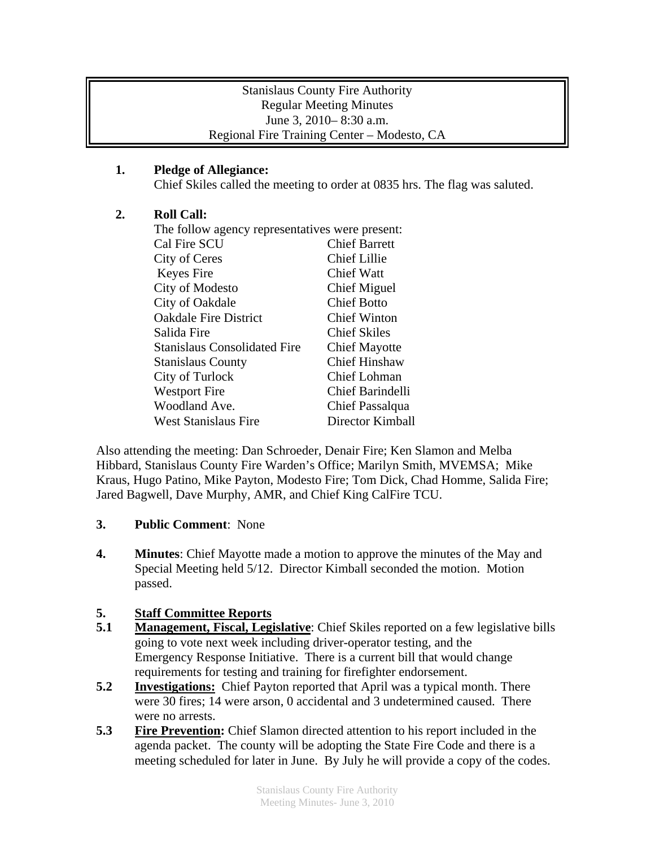#### Stanislaus County Fire Authority Regular Meeting Minutes June 3, 2010– 8:30 a.m. Regional Fire Training Center – Modesto, CA

### **1. Pledge of Allegiance:**

Chief Skiles called the meeting to order at 0835 hrs. The flag was saluted.

### **2. Roll Call:**

| The follow agency representatives were present: |                      |
|-------------------------------------------------|----------------------|
| Cal Fire SCU                                    | <b>Chief Barrett</b> |
| City of Ceres                                   | <b>Chief Lillie</b>  |
| <b>Keyes Fire</b>                               | <b>Chief Watt</b>    |
| City of Modesto                                 | Chief Miguel         |
| City of Oakdale                                 | <b>Chief Botto</b>   |
| <b>Oakdale Fire District</b>                    | <b>Chief Winton</b>  |
| Salida Fire                                     | <b>Chief Skiles</b>  |
| <b>Stanislaus Consolidated Fire</b>             | <b>Chief Mayotte</b> |
| <b>Stanislaus County</b>                        | <b>Chief Hinshaw</b> |
| City of Turlock                                 | Chief Lohman         |
| <b>Westport Fire</b>                            | Chief Barindelli     |
| Woodland Ave.                                   | Chief Passalqua      |
| <b>West Stanislaus Fire</b>                     | Director Kimball     |

Also attending the meeting: Dan Schroeder, Denair Fire; Ken Slamon and Melba Hibbard, Stanislaus County Fire Warden's Office; Marilyn Smith, MVEMSA; Mike Kraus, Hugo Patino, Mike Payton, Modesto Fire; Tom Dick, Chad Homme, Salida Fire; Jared Bagwell, Dave Murphy, AMR, and Chief King CalFire TCU.

#### **3. Public Comment**: None

**4. Minutes**: Chief Mayotte made a motion to approve the minutes of the May and Special Meeting held 5/12. Director Kimball seconded the motion. Motion passed.

# **5. Staff Committee Reports**

- **5.1 Management, Fiscal, Legislative**: Chief Skiles reported on a few legislative bills going to vote next week including driver-operator testing, and the Emergency Response Initiative. There is a current bill that would change requirements for testing and training for firefighter endorsement.
- **5.2 Investigations:** Chief Payton reported that April was a typical month. There were 30 fires; 14 were arson, 0 accidental and 3 undetermined caused. There were no arrests.
- **5.3 Fire Prevention:** Chief Slamon directed attention to his report included in the agenda packet. The county will be adopting the State Fire Code and there is a meeting scheduled for later in June. By July he will provide a copy of the codes.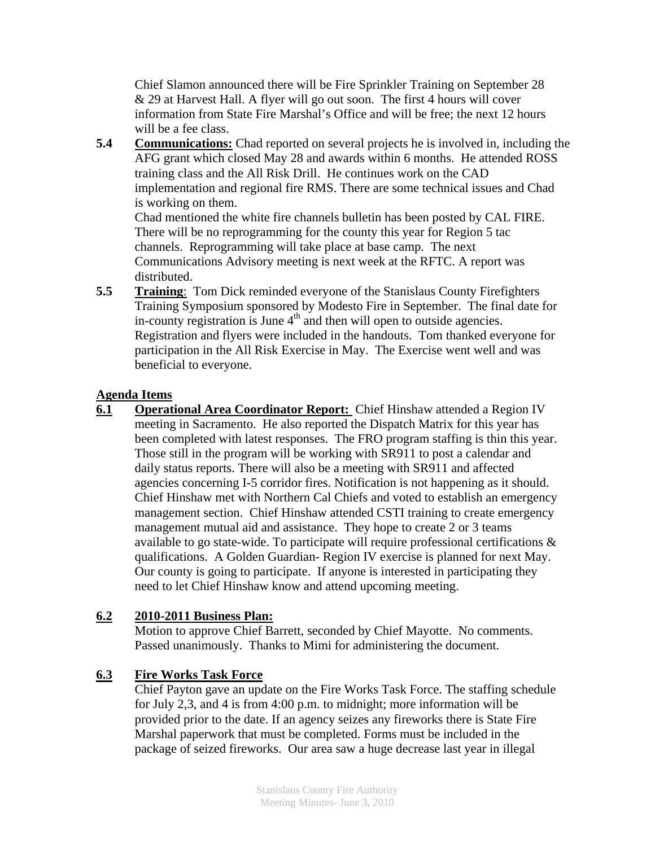Chief Slamon announced there will be Fire Sprinkler Training on September 28 & 29 at Harvest Hall. A flyer will go out soon. The first 4 hours will cover information from State Fire Marshal's Office and will be free; the next 12 hours will be a fee class.

**5.4 Communications:** Chad reported on several projects he is involved in, including the AFG grant which closed May 28 and awards within 6 months. He attended ROSS training class and the All Risk Drill. He continues work on the CAD implementation and regional fire RMS. There are some technical issues and Chad is working on them.

Chad mentioned the white fire channels bulletin has been posted by CAL FIRE. There will be no reprogramming for the county this year for Region 5 tac channels. Reprogramming will take place at base camp. The next Communications Advisory meeting is next week at the RFTC. A report was distributed.

**5.5 Training**: Tom Dick reminded everyone of the Stanislaus County Firefighters Training Symposium sponsored by Modesto Fire in September. The final date for in-county registration is June  $4<sup>th</sup>$  and then will open to outside agencies. Registration and flyers were included in the handouts. Tom thanked everyone for participation in the All Risk Exercise in May. The Exercise went well and was beneficial to everyone.

#### **Agenda Items**

**6.1 Operational Area Coordinator Report:** Chief Hinshaw attended a Region IV meeting in Sacramento. He also reported the Dispatch Matrix for this year has been completed with latest responses. The FRO program staffing is thin this year. Those still in the program will be working with SR911 to post a calendar and daily status reports. There will also be a meeting with SR911 and affected agencies concerning I-5 corridor fires. Notification is not happening as it should. Chief Hinshaw met with Northern Cal Chiefs and voted to establish an emergency management section. Chief Hinshaw attended CSTI training to create emergency management mutual aid and assistance. They hope to create 2 or 3 teams available to go state-wide. To participate will require professional certifications & qualifications. A Golden Guardian- Region IV exercise is planned for next May. Our county is going to participate. If anyone is interested in participating they need to let Chief Hinshaw know and attend upcoming meeting.

# **6.2 2010-2011 Business Plan:**

 Motion to approve Chief Barrett, seconded by Chief Mayotte. No comments. Passed unanimously. Thanks to Mimi for administering the document.

# **6.3 Fire Works Task Force**

 Chief Payton gave an update on the Fire Works Task Force. The staffing schedule for July 2,3, and 4 is from 4:00 p.m. to midnight; more information will be provided prior to the date. If an agency seizes any fireworks there is State Fire Marshal paperwork that must be completed. Forms must be included in the package of seized fireworks. Our area saw a huge decrease last year in illegal